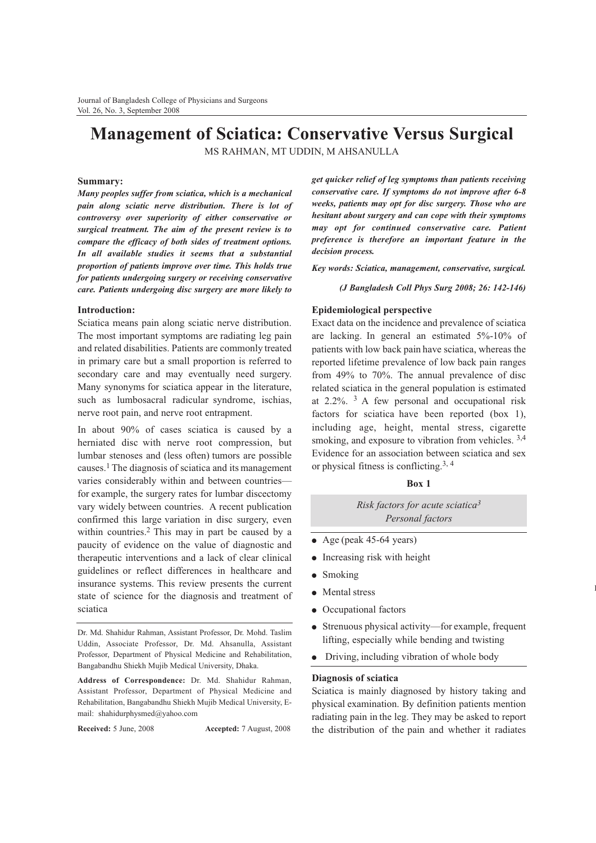# **Management of Sciatica: Conservative Versus Surgical**

MS RAHMAN, MT UDDIN, M AHSANULLA

# **Summary:**

*Many peoples suffer from sciatica, which is a mechanical pain along sciatic nerve distribution. There is lot of controversy over superiority of either conservative or surgical treatment. The aim of the present review is to compare the efficacy of both sides of treatment options. In all available studies it seems that a substantial proportion of patients improve over time. This holds true for patients undergoing surgery or receiving conservative care. Patients undergoing disc surgery are more likely to*

# **Introduction:**

Sciatica means pain along sciatic nerve distribution. The most important symptoms are radiating leg pain and related disabilities. Patients are commonly treated in primary care but a small proportion is referred to secondary care and may eventually need surgery. Many synonyms for sciatica appear in the literature, such as lumbosacral radicular syndrome, ischias, nerve root pain, and nerve root entrapment.

In about 90% of cases sciatica is caused by a herniated disc with nerve root compression, but lumbar stenoses and (less often) tumors are possible causes. <sup>1</sup> The diagnosis of sciatica and its management varies considerably within and between countries for example, the surgery rates for lumbar discectomy vary widely between countries. A recent publication confirmed this large variation in disc surgery, even within countries. <sup>2</sup> This may in part be caused by a paucity of evidence on the value of diagnostic and therapeutic interventions and a lack of clear clinical guidelines or reflect differences in healthcare and insurance systems. This review presents the current state of science for the diagnosis and treatment of sciatica

Dr. Md. Shahidur Rahman, Assistant Professor, Dr. Mohd. Taslim Uddin, Associate Professor, Dr. Md. Ahsanulla, Assistant Professor, Department of Physical Medicine and Rehabilitation, Bangabandhu Shiekh Mujib Medical University, Dhaka.

**Address of Correspondence:** Dr. Md. Shahidur Rahman, Assistant Professor, Department of Physical Medicine and Rehabilitation, Bangabandhu Shiekh Mujib Medical University, Email: shahidurphysmed@yahoo.com

**Received:** 5 June, 2008 **Accepted:** 7 August, 2008

*get quicker relief of leg symptoms than patients receiving conservative care. If symptoms do not improve after 6-8 weeks, patients may opt for disc surgery. Those who are hesitant about surgery and can cope with their symptoms may opt for continued conservative care. Patient preference is therefore an important feature in the decision process.*

*Key words: Sciatica, management, conservative, surgical.*

*(J Bangladesh Coll Phys Surg 2008; 26: 142-146)*

# **Epidemiological perspective**

Exact data on the incidence and prevalence of sciatica are lacking. In general an estimated 5%-10% of patients with low back pain have sciatica, whereas the reported lifetime prevalence of low back pain ranges from 49% to 70%. The annual prevalence of disc related sciatica in the general population is estimated at  $2.2\%$ . <sup>3</sup> A few personal and occupational risk factors for sciatica have been reported (box 1), including age, height, mental stress, cigarette smoking, and exposure to vibration from vehicles.  $3,4$ Evidence for an association between sciatica and sex or physical fitness is conflicting. 3, 4

## **Box 1**

# *Risk factors for acute sciatica3 Personal factors*

- Age (peak 45-64 years)
- Increasing risk with height
- Smoking
- Mental stress
- Occupational factors
- Strenuous physical activity—for example, frequent lifting, especially while bending and twisting

R

• Driving, including vibration of whole body

## **Diagnosis of sciatica**

Sciatica is mainly diagnosed by history taking and physical examination. By definition patients mention radiating pain in the leg. They may be asked to report the distribution of the pain and whether it radiates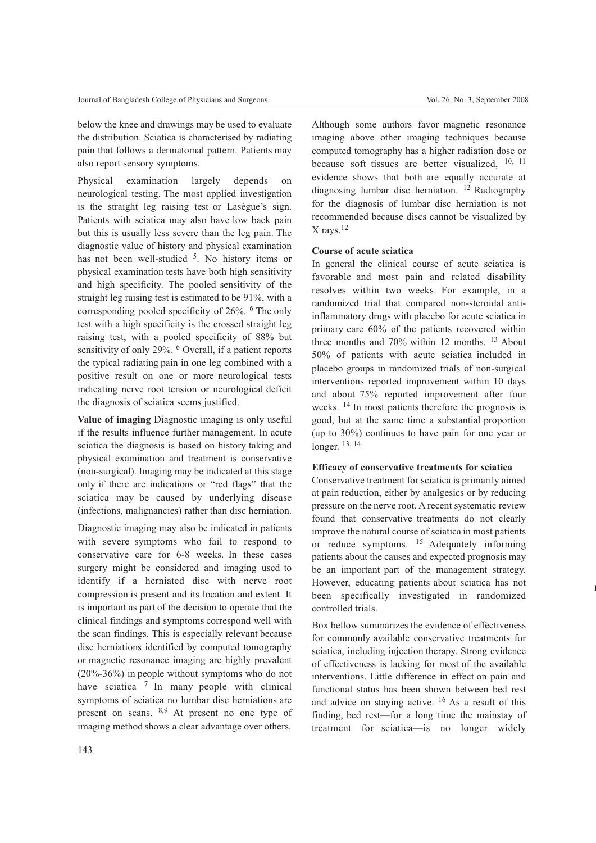below the knee and drawings may be used to evaluate the distribution. Sciatica is characterised by radiating pain that follows a dermatomal pattern. Patients may also report sensory symptoms.

Physical examination largely depends on neurological testing. The most applied investigation is the straight leg raising test or Lasègue's sign. Patients with sciatica may also have low back pain but this is usually less severe than the leg pain. The diagnostic value of history and physical examination has not been well-studied <sup>5</sup>. No history items or physical examination tests have both high sensitivity and high specificity. The pooled sensitivity of the straight leg raising test is estimated to be 91%, with a corresponding pooled specificity of 26%. <sup>6</sup> The only test with a high specificity is the crossed straight leg raising test, with a pooled specificity of 88% but sensitivity of only 29%. <sup>6</sup> Overall, if a patient reports the typical radiating pain in one leg combined with a positive result on one or more neurological tests indicating nerve root tension or neurological deficit the diagnosis of sciatica seems justified.

**Value of imaging** Diagnostic imaging is only useful if the results influence further management. In acute sciatica the diagnosis is based on history taking and physical examination and treatment is conservative (non-surgical). Imaging may be indicated at this stage only if there are indications or "red flags" that the sciatica may be caused by underlying disease (infections, malignancies) rather than disc herniation.

Diagnostic imaging may also be indicated in patients with severe symptoms who fail to respond to conservative care for 6-8 weeks. In these cases surgery might be considered and imaging used to identify if a herniated disc with nerve root compression is present and its location and extent. It is important as part of the decision to operate that the clinical findings and symptoms correspond well with the scan findings. This is especially relevant because disc herniations identified by computed tomography or magnetic resonance imaging are highly prevalent (20%-36%) in people without symptoms who do not have sciatica  $7 \text{ In}$  many people with clinical symptoms of sciatica no lumbar disc herniations are present on scans. 8,9 At present no one type of imaging method shows a clear advantage over others.

Although some authors favor magnetic resonance

imaging above other imaging techniques because computed tomography has a higher radiation dose or because soft tissues are better visualized, <sup>10, 11</sup> evidence shows that both are equally accurate at diagnosing lumbar disc herniation. <sup>12</sup> Radiography for the diagnosis of lumbar disc herniation is not recommended because discs cannot be visualized by X rays. 12

# **Course of acute sciatica**

In general the clinical course of acute sciatica is favorable and most pain and related disability resolves within two weeks. For example, in a randomized trial that compared non-steroidal antiinflammatory drugs with placebo for acute sciatica in primary care 60% of the patients recovered within three months and 70% within 12 months. <sup>13</sup> About 50% of patients with acute sciatica included in placebo groups in randomized trials of non-surgical interventions reported improvement within 10 days and about 75% reported improvement after four weeks. <sup>14</sup> In most patients therefore the prognosis is good, but at the same time a substantial proportion (up to 30%) continues to have pain for one year or longer. 13, <sup>14</sup>

# **Efficacy of conservative treatments for sciatica**

Conservative treatment for sciatica is primarily aimed at pain reduction, either by analgesics or by reducing pressure on the nerve root. A recent systematic review found that conservative treatments do not clearly improve the natural course of sciatica in most patients or reduce symptoms. <sup>15</sup> Adequately informing patients about the causes and expected prognosis may be an important part of the management strategy. However, educating patients about sciatica has not been specifically investigated in randomized controlled trials.

R

Box bellow summarizes the evidence of effectiveness for commonly available conservative treatments for sciatica, including injection therapy. Strong evidence of effectiveness is lacking for most of the available interventions. Little difference in effect on pain and functional status has been shown between bed rest and advice on staying active. <sup>16</sup> As a result of this finding, bed rest—for a long time the mainstay of treatment for sciatica—is no longer widely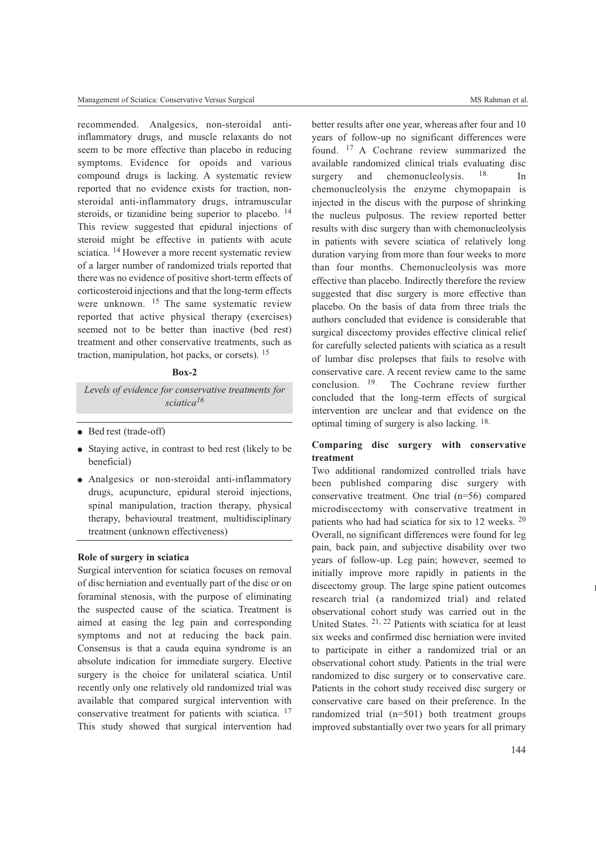recommended. Analgesics, non-steroidal antiinflammatory drugs, and muscle relaxants do not seem to be more effective than placebo in reducing symptoms. Evidence for opoids and various compound drugs is lacking. A systematic review reported that no evidence exists for traction, nonsteroidal anti-inflammatory drugs, intramuscular steroids, or tizanidine being superior to placebo. <sup>14</sup> This review suggested that epidural injections of steroid might be effective in patients with acute sciatica. <sup>14</sup> However a more recent systematic review of a larger number of randomized trials reported that there was no evidence of positive short-term effects of corticosteroid injections and that the long-term effects were unknown. <sup>15</sup> The same systematic review reported that active physical therapy (exercises) seemed not to be better than inactive (bed rest) treatment and other conservative treatments, such as traction, manipulation, hot packs, or corsets). <sup>15</sup>

#### **Box-2**

*Levels of evidence for conservative treatments for sciatica16*

- Bed rest (trade-off)
- Staying active, in contrast to bed rest (likely to be beneficial)
- Analgesics or non-steroidal anti-inflammatory drugs, acupuncture, epidural steroid injections, spinal manipulation, traction therapy, physical therapy, behavioural treatment, multidisciplinary treatment (unknown effectiveness)

# **Role of surgery in sciatica**

Surgical intervention for sciatica focuses on removal of disc herniation and eventually part of the disc or on foraminal stenosis, with the purpose of eliminating the suspected cause of the sciatica. Treatment is aimed at easing the leg pain and corresponding symptoms and not at reducing the back pain. Consensus is that a cauda equina syndrome is an absolute indication for immediate surgery. Elective surgery is the choice for unilateral sciatica. Until recently only one relatively old randomized trial was available that compared surgical intervention with conservative treatment for patients with sciatica. <sup>17</sup> This study showed that surgical intervention had better results after one year, whereas after four and 10 years of follow-up no significant differences were found. <sup>17</sup> A Cochrane review summarized the available randomized clinical trials evaluating disc surgery and chemonucleolysis.  $18$ . In chemonucleolysis the enzyme chymopapain is injected in the discus with the purpose of shrinking the nucleus pulposus. The review reported better results with disc surgery than with chemonucleolysis in patients with severe sciatica of relatively long duration varying from more than four weeks to more than four months. Chemonucleolysis was more effective than placebo. Indirectly therefore the review suggested that disc surgery is more effective than placebo. On the basis of data from three trials the authors concluded that evidence is considerable that surgical discectomy provides effective clinical relief for carefully selected patients with sciatica as a result of lumbar disc prolepses that fails to resolve with conservative care. A recent review came to the same<br>conclusion. <sup>19.</sup> The Cochrane review further The Cochrane review further concluded that the long-term effects of surgical intervention are unclear and that evidence on the optimal timing of surgery is also lacking. 18.

# **Comparing disc surgery with conservative treatment**

Two additional randomized controlled trials have been published comparing disc surgery with conservative treatment. One trial (n=56) compared microdiscectomy with conservative treatment in patients who had had sciatica for six to 12 weeks. <sup>20</sup> Overall, no significant differences were found for leg pain, back pain, and subjective disability over two years of follow-up. Leg pain; however, seemed to initially improve more rapidly in patients in the discectomy group. The large spine patient outcomes research trial (a randomized trial) and related observational cohort study was carried out in the United States. 21, <sup>22</sup> Patients with sciatica for at least six weeks and confirmed disc herniation were invited to participate in either a randomized trial or an observational cohort study. Patients in the trial were randomized to disc surgery or to conservative care. Patients in the cohort study received disc surgery or conservative care based on their preference. In the randomized trial (n=501) both treatment groups improved substantially over two years for all primary

R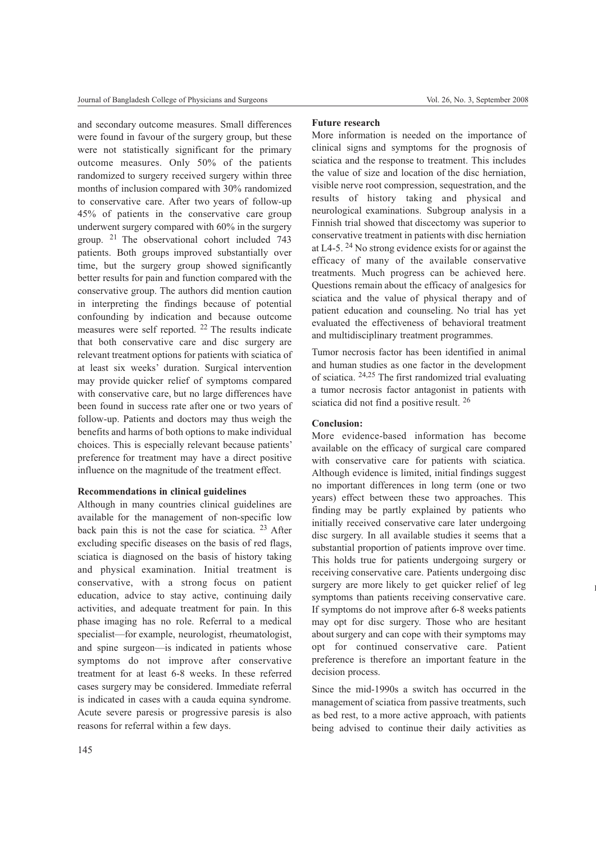and secondary outcome measures. Small differences were found in favour of the surgery group, but these were not statistically significant for the primary outcome measures. Only 50% of the patients randomized to surgery received surgery within three months of inclusion compared with 30% randomized to conservative care. After two years of follow-up 45% of patients in the conservative care group underwent surgery compared with 60% in the surgery group. <sup>21</sup> The observational cohort included 743 patients. Both groups improved substantially over time, but the surgery group showed significantly better results for pain and function compared with the conservative group. The authors did mention caution in interpreting the findings because of potential confounding by indication and because outcome measures were self reported. <sup>22</sup> The results indicate that both conservative care and disc surgery are relevant treatment options for patients with sciatica of at least six weeks' duration. Surgical intervention may provide quicker relief of symptoms compared with conservative care, but no large differences have been found in success rate after one or two years of follow-up. Patients and doctors may thus weigh the benefits and harms of both options to make individual choices. This is especially relevant because patients' preference for treatment may have a direct positive influence on the magnitude of the treatment effect.

# **Recommendations in clinical guidelines**

Although in many countries clinical guidelines are available for the management of non-specific low back pain this is not the case for sciatica. <sup>23</sup> After excluding specific diseases on the basis of red flags, sciatica is diagnosed on the basis of history taking and physical examination. Initial treatment is conservative, with a strong focus on patient education, advice to stay active, continuing daily activities, and adequate treatment for pain. In this phase imaging has no role. Referral to a medical specialist—for example, neurologist, rheumatologist, and spine surgeon—is indicated in patients whose symptoms do not improve after conservative treatment for at least 6-8 weeks. In these referred cases surgery may be considered. Immediate referral is indicated in cases with a cauda equina syndrome. Acute severe paresis or progressive paresis is also reasons for referral within a few days.

# **Future research**

More information is needed on the importance of clinical signs and symptoms for the prognosis of sciatica and the response to treatment. This includes the value of size and location of the disc herniation, visible nerve root compression, sequestration, and the results of history taking and physical and neurological examinations. Subgroup analysis in a Finnish trial showed that discectomy was superior to conservative treatment in patients with disc herniation at L4-5. <sup>24</sup> No strong evidence exists for or against the efficacy of many of the available conservative treatments. Much progress can be achieved here. Questions remain about the efficacy of analgesics for sciatica and the value of physical therapy and of patient education and counseling. No trial has yet evaluated the effectiveness of behavioral treatment and multidisciplinary treatment programmes.

Tumor necrosis factor has been identified in animal and human studies as one factor in the development of sciatica. 24,25 The first randomized trial evaluating a tumor necrosis factor antagonist in patients with sciatica did not find a positive result. <sup>26</sup>

## **Conclusion:**

More evidence-based information has become available on the efficacy of surgical care compared with conservative care for patients with sciatica. Although evidence is limited, initial findings suggest no important differences in long term (one or two years) effect between these two approaches. This finding may be partly explained by patients who initially received conservative care later undergoing disc surgery. In all available studies it seems that a substantial proportion of patients improve over time. This holds true for patients undergoing surgery or receiving conservative care. Patients undergoing disc surgery are more likely to get quicker relief of leg symptoms than patients receiving conservative care. If symptoms do not improve after 6-8 weeks patients may opt for disc surgery. Those who are hesitant about surgery and can cope with their symptoms may opt for continued conservative care. Patient preference is therefore an important feature in the decision process.

R

Since the mid-1990s a switch has occurred in the management of sciatica from passive treatments, such as bed rest, to a more active approach, with patients being advised to continue their daily activities as